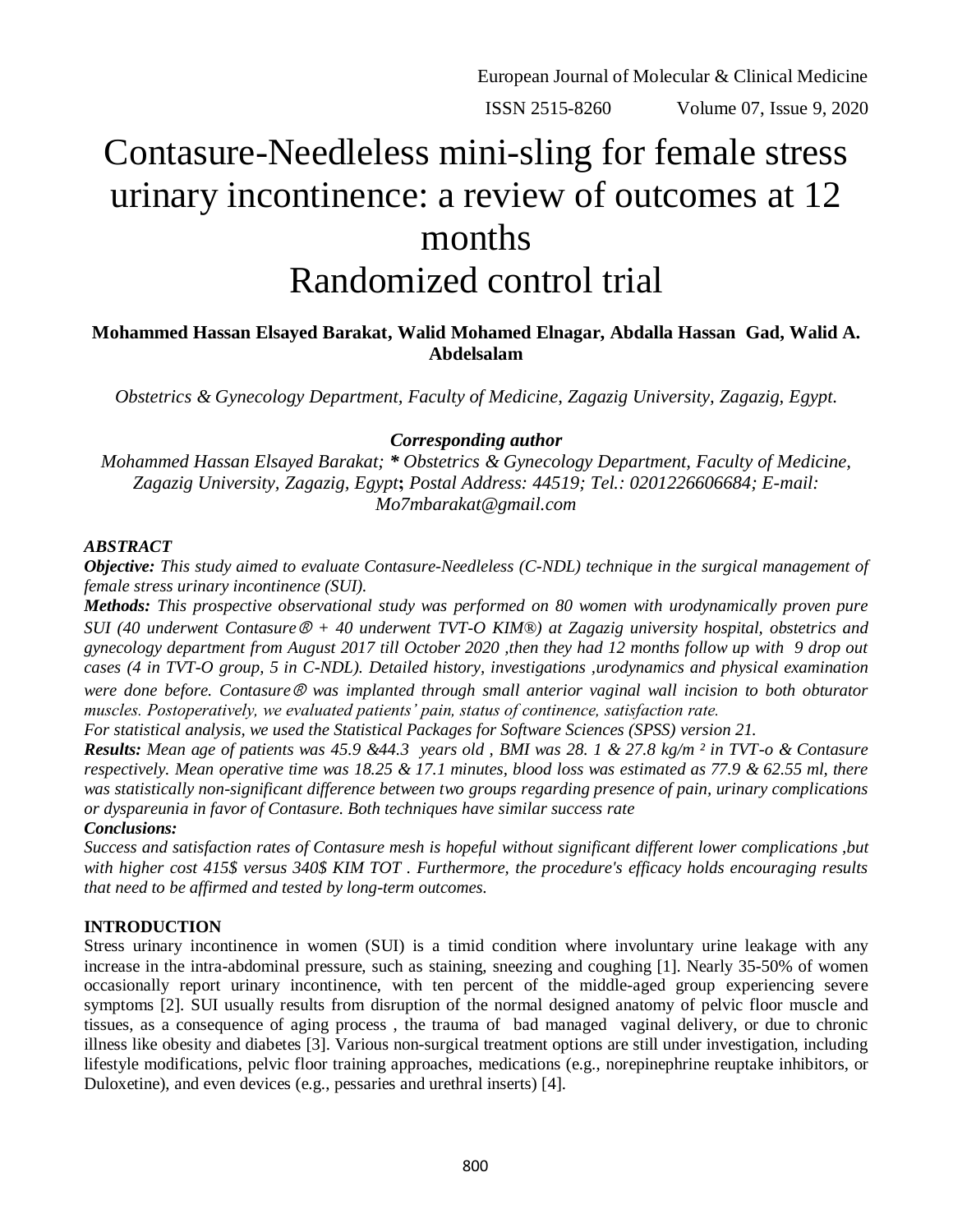ISSN 2515-8260 Volume 07, Issue 9, 2020

# Contasure-Needleless mini-sling for female stress urinary incontinence: a review of outcomes at 12 months Randomized control trial

# **Mohammed Hassan Elsayed Barakat, Walid Mohamed Elnagar, Abdalla Hassan Gad, Walid A. Abdelsalam**

*Obstetrics & Gynecology Department, Faculty of Medicine, Zagazig University, Zagazig, Egypt.*

## *Corresponding author*

*Mohammed Hassan Elsayed Barakat; \* Obstetrics & Gynecology Department, Faculty of Medicine, Zagazig University, Zagazig, Egypt***;** *Postal Address: 44519; Tel.: 0201226606684; E-mail: Mo7mbarakat@gmail.com*

### *ABSTRACT*

*Objective: This study aimed to evaluate Contasure-Needleless (C-NDL) technique in the surgical management of female stress urinary incontinence (SUI).*

*Methods: This prospective observational study was performed on 80 women with urodynamically proven pure SUI (40 underwent Contasure*Ⓡ *+ 40 underwent TVT-O KIM®) at Zagazig university hospital, obstetrics and gynecology department from August 2017 till October 2020 ,then they had 12 months follow up with 9 drop out cases (4 in TVT-O group, 5 in C-NDL). Detailed history, investigations ,urodynamics and physical examination were done before. Contasure*Ⓡ *was implanted through small anterior vaginal wall incision to both obturator muscles. Postoperatively, we evaluated patients' pain, status of continence, satisfaction rate.* 

*For statistical analysis, we used the Statistical Packages for Software Sciences (SPSS) version 21.*

*Results: Mean age of patients was 45.9 &44.3 years old , BMI was 28. 1 & 27.8 kg/m ² in TVT-o & Contasure respectively. Mean operative time was 18.25 & 17.1 minutes, blood loss was estimated as 77.9 & 62.55 ml, there was statistically non-significant difference between two groups regarding presence of pain, urinary complications or dyspareunia in favor of Contasure. Both techniques have similar success rate*

## *Conclusions:*

*Success and satisfaction rates of Contasure mesh is hopeful without significant different lower complications ,but with higher cost 415\$ versus 340\$ KIM TOT . Furthermore, the procedure's efficacy holds encouraging results that need to be affirmed and tested by long-term outcomes.*

## **INTRODUCTION**

Stress urinary incontinence in women (SUI) is a timid condition where involuntary urine leakage with any increase in the intra-abdominal pressure, such as staining, sneezing and coughing [1]. Nearly 35-50% of women occasionally report urinary incontinence, with ten percent of the middle-aged group experiencing severe symptoms [2]. SUI usually results from disruption of the normal designed anatomy of pelvic floor muscle and tissues, as a consequence of aging process , the trauma of bad managed vaginal delivery, or due to chronic illness like obesity and diabetes [3]. Various non-surgical treatment options are still under investigation, including lifestyle modifications, pelvic floor training approaches, medications (e.g., norepinephrine reuptake inhibitors, or Duloxetine), and even devices (e.g., pessaries and urethral inserts) [4].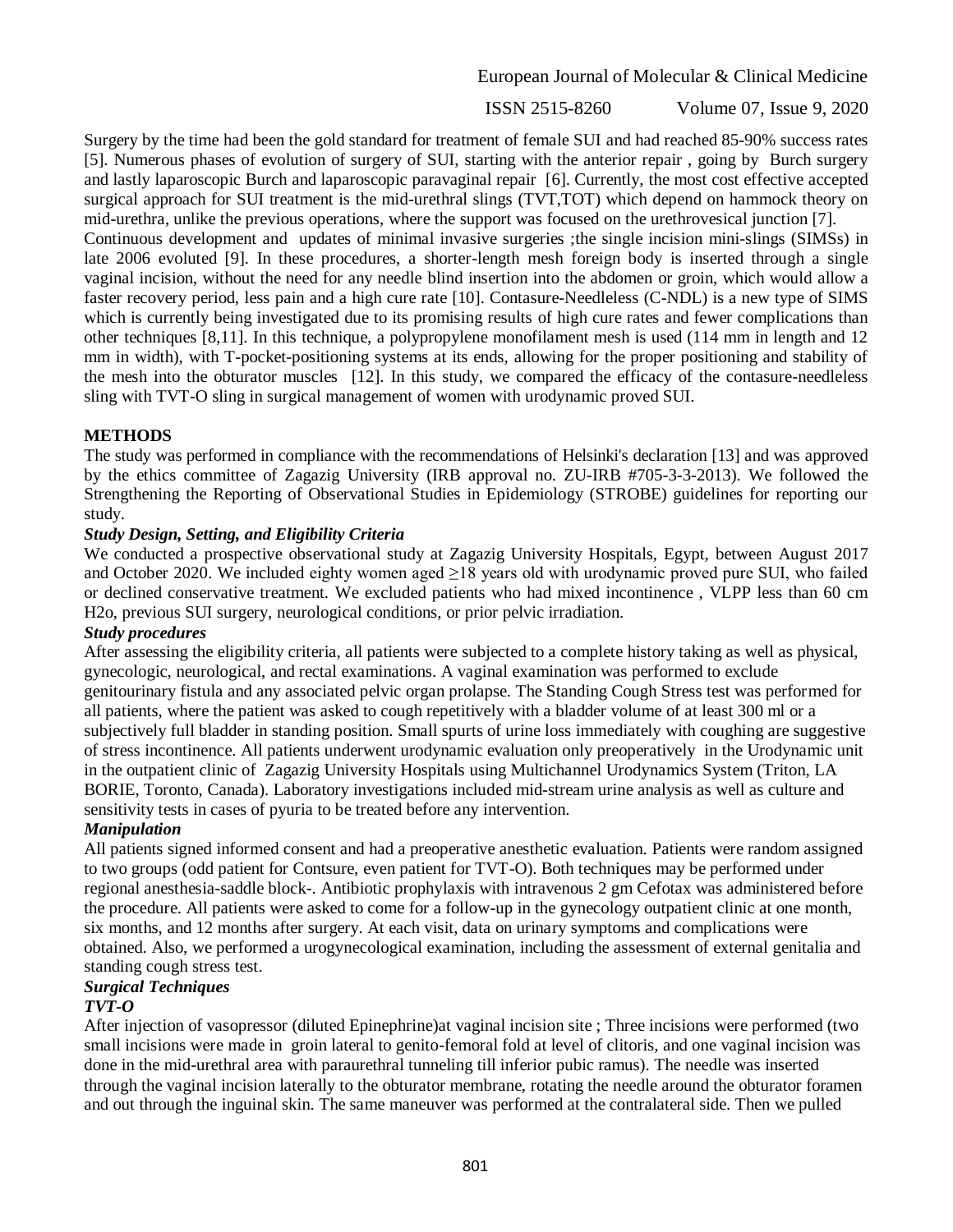ISSN 2515-8260 Volume 07, Issue 9, 2020

Surgery by the time had been the gold standard for treatment of female SUI and had reached 85-90% success rates [5]. Numerous phases of evolution of surgery of SUI, starting with the anterior repair , going by Burch surgery and lastly laparoscopic Burch and laparoscopic paravaginal repair [6]. Currently, the most cost effective accepted surgical approach for SUI treatment is the mid-urethral slings (TVT,TOT) which depend on hammock theory on mid-urethra, unlike the previous operations, where the support was focused on the urethrovesical junction [7]. Continuous development and updates of minimal invasive surgeries ;the single incision mini-slings (SIMSs) in late 2006 evoluted [9]. In these procedures, a shorter-length mesh foreign body is inserted through a single vaginal incision, without the need for any needle blind insertion into the abdomen or groin, which would allow a faster recovery period, less pain and a high cure rate [10]. Contasure-Needleless (C-NDL) is a new type of SIMS which is currently being investigated due to its promising results of high cure rates and fewer complications than other techniques [8,11]. In this technique, a polypropylene monofilament mesh is used (114 mm in length and 12 mm in width), with T-pocket-positioning systems at its ends, allowing for the proper positioning and stability of the mesh into the obturator muscles [12]. In this study, we compared the efficacy of the contasure-needleless

## **METHODS**

The study was performed in compliance with the recommendations of Helsinki's declaration [13] and was approved by the ethics committee of Zagazig University (IRB approval no. ZU-IRB #705-3-3-2013). We followed the Strengthening the Reporting of Observational Studies in Epidemiology (STROBE) guidelines for reporting our study.

sling with TVT-O sling in surgical management of women with urodynamic proved SUI.

## *Study Design, Setting, and Eligibility Criteria*

We conducted a prospective observational study at Zagazig University Hospitals, Egypt, between August 2017 and October 2020. We included eighty women aged ≥18 years old with urodynamic proved pure SUI, who failed or declined conservative treatment. We excluded patients who had mixed incontinence , VLPP less than 60 cm H2o, previous SUI surgery, neurological conditions, or prior pelvic irradiation.

## *Study procedures*

After assessing the eligibility criteria, all patients were subjected to a complete history taking as well as physical, gynecologic, neurological, and rectal examinations. A vaginal examination was performed to exclude genitourinary fistula and any associated pelvic organ prolapse. The Standing Cough Stress test was performed for all patients, where the patient was asked to cough repetitively with a bladder volume of at least 300 ml or a subjectively full bladder in standing position. Small spurts of urine loss immediately with coughing are suggestive of stress incontinence. All patients underwent urodynamic evaluation only preoperatively in the Urodynamic unit in the outpatient clinic of Zagazig University Hospitals using Multichannel Urodynamics System (Triton, LA BORIE, Toronto, Canada). Laboratory investigations included mid-stream urine analysis as well as culture and sensitivity tests in cases of pyuria to be treated before any intervention.

## *Manipulation*

All patients signed informed consent and had a preoperative anesthetic evaluation. Patients were random assigned to two groups (odd patient for Contsure, even patient for TVT-O). Both techniques may be performed under regional anesthesia-saddle block-. Antibiotic prophylaxis with intravenous 2 gm Cefotax was administered before the procedure. All patients were asked to come for a follow-up in the gynecology outpatient clinic at one month, six months, and 12 months after surgery. At each visit, data on urinary symptoms and complications were obtained. Also, we performed a urogynecological examination, including the assessment of external genitalia and standing cough stress test.

## *Surgical Techniques*

## *TVT-O*

After injection of vasopressor (diluted Epinephrine)at vaginal incision site ; Three incisions were performed (two small incisions were made in groin lateral to genito-femoral fold at level of clitoris, and one vaginal incision was done in the mid-urethral area with paraurethral tunneling till inferior pubic ramus). The needle was inserted through the vaginal incision laterally to the obturator membrane, rotating the needle around the obturator foramen and out through the inguinal skin. The same maneuver was performed at the contralateral side. Then we pulled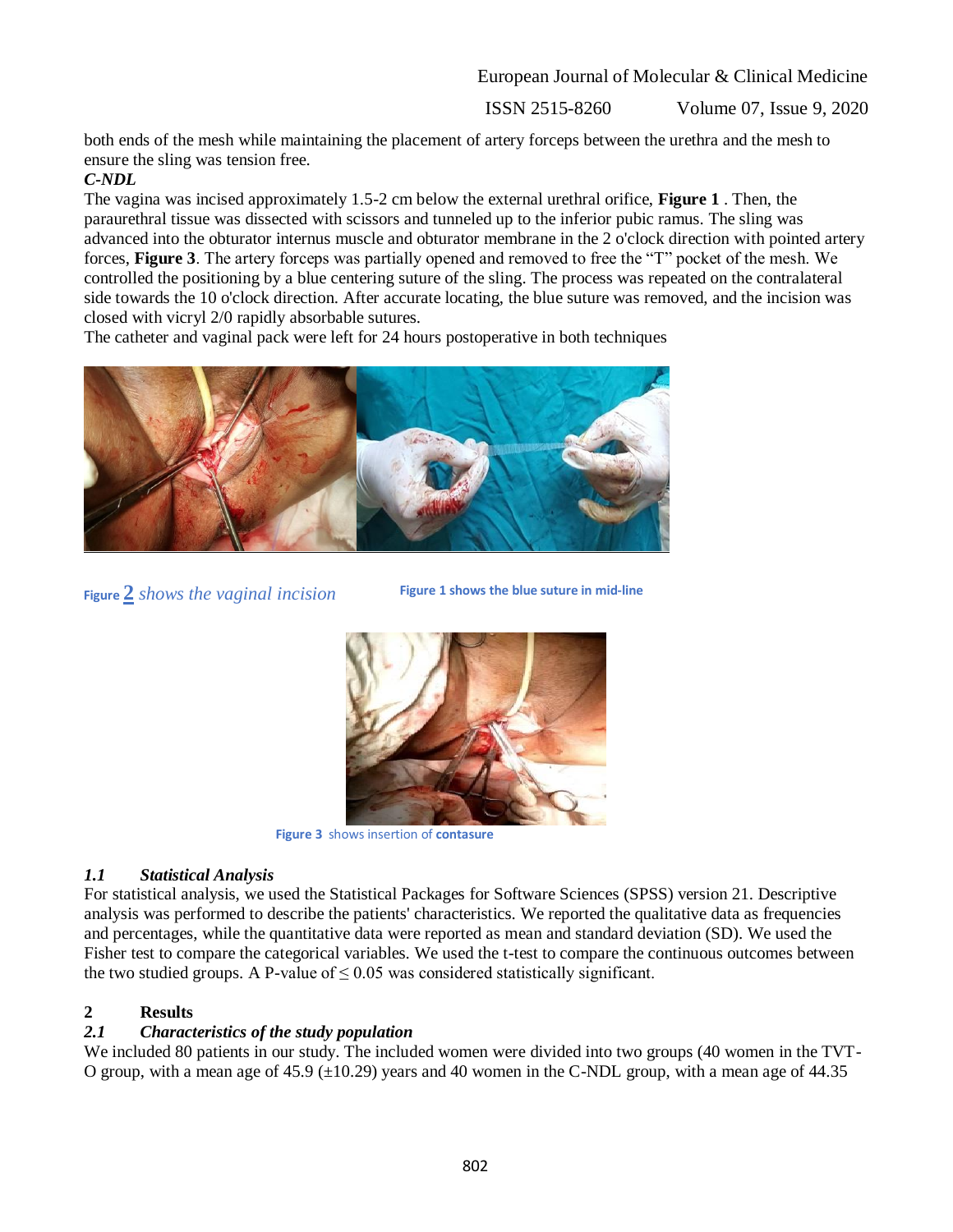ISSN 2515-8260 Volume 07, Issue 9, 2020

both ends of the mesh while maintaining the placement of artery forceps between the urethra and the mesh to ensure the sling was tension free.

# *C-NDL*

The vagina was incised approximately 1.5-2 cm below the external urethral orifice, **Figure 1** . Then, the paraurethral tissue was dissected with scissors and tunneled up to the inferior pubic ramus. The sling was advanced into the obturator internus muscle and obturator membrane in the 2 o'clock direction with pointed artery forces, **Figure 3**. The artery forceps was partially opened and removed to free the "T" pocket of the mesh. We controlled the positioning by a blue centering suture of the sling. The process was repeated on the contralateral side towards the 10 o'clock direction. After accurate locating, the blue suture was removed, and the incision was closed with vicryl 2/0 rapidly absorbable sutures.

The catheter and vaginal pack were left for 24 hours postoperative in both techniques



**Figure 2** *shows the vaginal incision* 

**Figure 1 shows the blue suture in mid-line**



**Figure 3** shows insertion of **contasure**

# *1.1 Statistical Analysis*

For statistical analysis, we used the Statistical Packages for Software Sciences (SPSS) version 21. Descriptive analysis was performed to describe the patients' characteristics. We reported the qualitative data as frequencies and percentages, while the quantitative data were reported as mean and standard deviation (SD). We used the Fisher test to compare the categorical variables. We used the t-test to compare the continuous outcomes between the two studied groups. A P-value of  $\leq 0.05$  was considered statistically significant.

# **2 Results**

# *2.1 Characteristics of the study population*

We included 80 patients in our study. The included women were divided into two groups (40 women in the TVT-O group, with a mean age of 45.9  $(\pm 10.29)$  years and 40 women in the C-NDL group, with a mean age of 44.35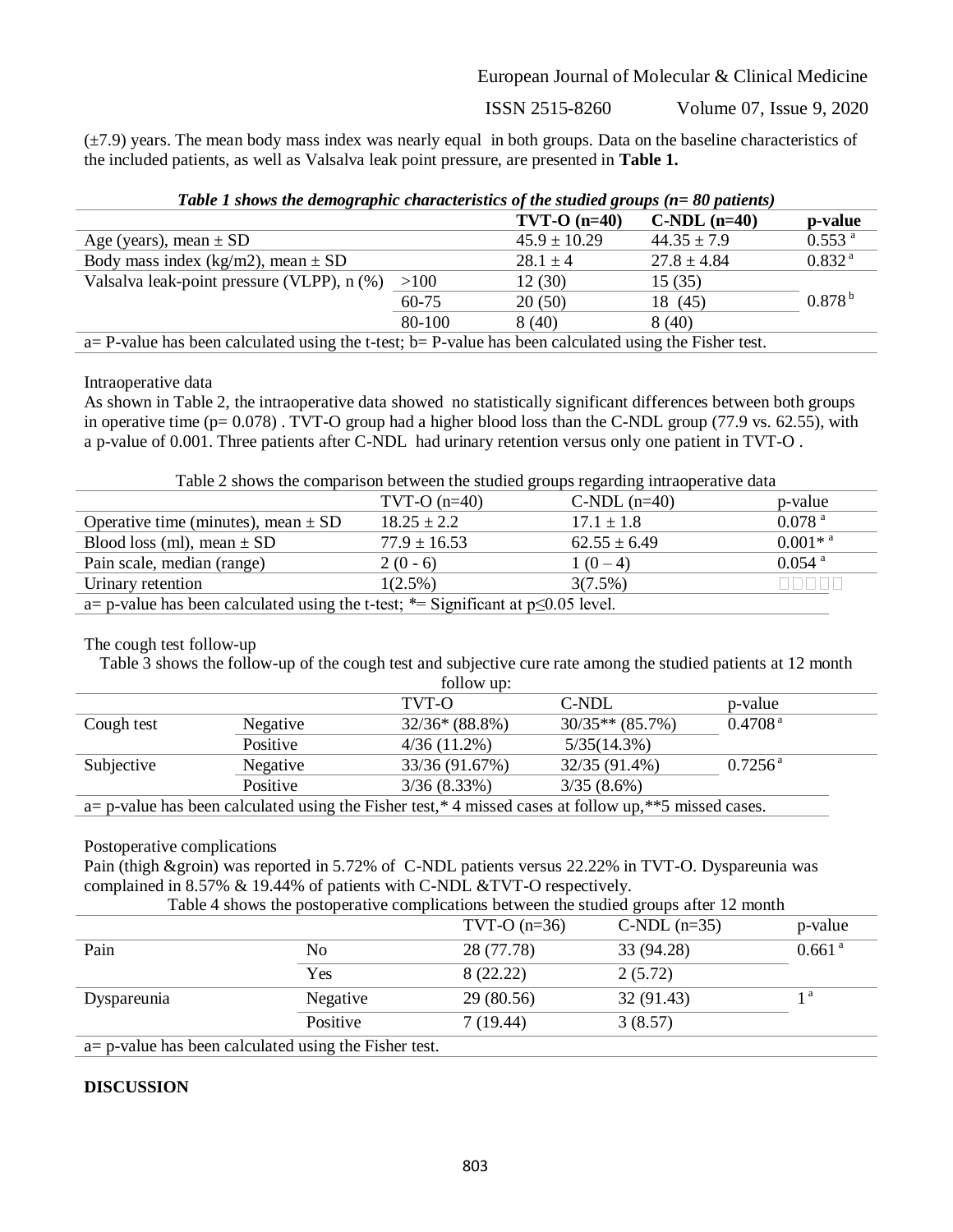ISSN 2515-8260 Volume 07, Issue 9, 2020

(±7.9) years. The mean body mass index was nearly equal in both groups. Data on the baseline characteristics of the included patients, as well as Valsalva leak point pressure, are presented in **Table 1.**

| Table 1 shows the demographic characteristics of the studied groups ( $n = 80$ patients) |  |  |
|------------------------------------------------------------------------------------------|--|--|
|                                                                                          |  |  |

|                                                                                                            |        | $TVT-O$ (n=40)   | $C-NDL$ (n=40)  | p-value              |
|------------------------------------------------------------------------------------------------------------|--------|------------------|-----------------|----------------------|
| Age (years), mean $\pm$ SD                                                                                 |        | $45.9 \pm 10.29$ | $44.35 \pm 7.9$ | $0.553$ <sup>a</sup> |
| Body mass index (kg/m2), mean $\pm$ SD                                                                     |        | $28.1 \pm 4$     | $27.8 \pm 4.84$ | 0.832 <sup>a</sup>   |
| Valsalva leak-point pressure (VLPP), n (%)                                                                 | >100   | 12(30)           | 15(35)          |                      |
|                                                                                                            | 60-75  | 20(50)           | 18 (45)         | $0.878^{b}$          |
|                                                                                                            | 80-100 | 8(40)            | 8(40)           |                      |
| $a = P$ -value has been calculated using the t-test; b= P-value has been calculated using the Fisher test. |        |                  |                 |                      |

Intraoperative data

As shown in Table 2, the intraoperative data showed no statistically significant differences between both groups in operative time (p= 0.078) . TVT-O group had a higher blood loss than the C-NDL group (77.9 vs. 62.55), with a p-value of 0.001. Three patients after C-NDL had urinary retention versus only one patient in TVT-O .

Table 2 shows the comparison between the studied groups regarding intraoperative data

|                                                                                            | $TVT-O$ (n=40)   | $C-NDL$ (n=40)   | p-value               |  |
|--------------------------------------------------------------------------------------------|------------------|------------------|-----------------------|--|
| Operative time (minutes), mean $\pm$ SD                                                    | $18.25 \pm 2.2$  | $17.1 \pm 1.8$   | $0.078$ <sup>a</sup>  |  |
| Blood loss (ml), mean $\pm$ SD                                                             | $77.9 \pm 16.53$ | $62.55 \pm 6.49$ | $0.001*$ <sup>a</sup> |  |
| Pain scale, median (range)                                                                 | $2(0-6)$         | $1(0-4)$         | $0.054$ <sup>a</sup>  |  |
| Urinary retention<br>$1(2.5\%)$<br>3(7.5%)                                                 |                  |                  |                       |  |
| a= p-value has been calculated using the t-test; $*$ = Significant at p $\leq 0.05$ level. |                  |                  |                       |  |

## The cough test follow-up

Table 3 shows the follow-up of the cough test and subjective cure rate among the studied patients at 12 month  $f_0$ llow up:

| TOITOW UP.                                                                                                  |          |                 |                   |                     |
|-------------------------------------------------------------------------------------------------------------|----------|-----------------|-------------------|---------------------|
|                                                                                                             |          | TVT-O           | C-NDL             | p-value             |
| Cough test                                                                                                  | Negative | $32/36*(88.8%)$ | $30/35**$ (85.7%) | 0.4708 <sup>a</sup> |
|                                                                                                             | Positive | $4/36(11.2\%)$  | $5/35(14.3\%)$    |                     |
| Subjective                                                                                                  | Negative | 33/36 (91.67%)  | 32/35 (91.4%)     | $0.7256^{\text{a}}$ |
|                                                                                                             | Positive | 3/36(8.33%)     | $3/35(8.6\%)$     |                     |
| a= p-value has been calculated using the Fisher test, $*$ 4 missed cases at follow up, $**$ 5 missed cases. |          |                 |                   |                     |

## Postoperative complications

Pain (thigh &groin) was reported in 5.72% of C-NDL patients versus 22.22% in TVT-O. Dyspareunia was complained in 8.57% & 19.44% of patients with C-NDL &TVT-O respectively. Table 4 shows the postoperative complications between the studied groups after 12 month

|                                                           |          |                | Table $\pm$ shows the postoperative complications between the studied groups after 12 month |                    |
|-----------------------------------------------------------|----------|----------------|---------------------------------------------------------------------------------------------|--------------------|
|                                                           |          | TVT-O $(n=36)$ | $C-NDL$ (n=35)                                                                              | p-value            |
| Pain                                                      | No       | 28 (77.78)     | 33 (94.28)                                                                                  | 0.661 <sup>a</sup> |
|                                                           | Yes      | 8 (22.22)      | 2(5.72)                                                                                     |                    |
| Dyspareunia                                               | Negative | 29 (80.56)     | 32 (91.43)                                                                                  | 1 a                |
|                                                           | Positive | 7(19.44)       | 3(8.57)                                                                                     |                    |
| $a = p$ -value has been calculated using the Fisher test. |          |                |                                                                                             |                    |

a= p-value has been calculated using the Fisher test.

# **DISCUSSION**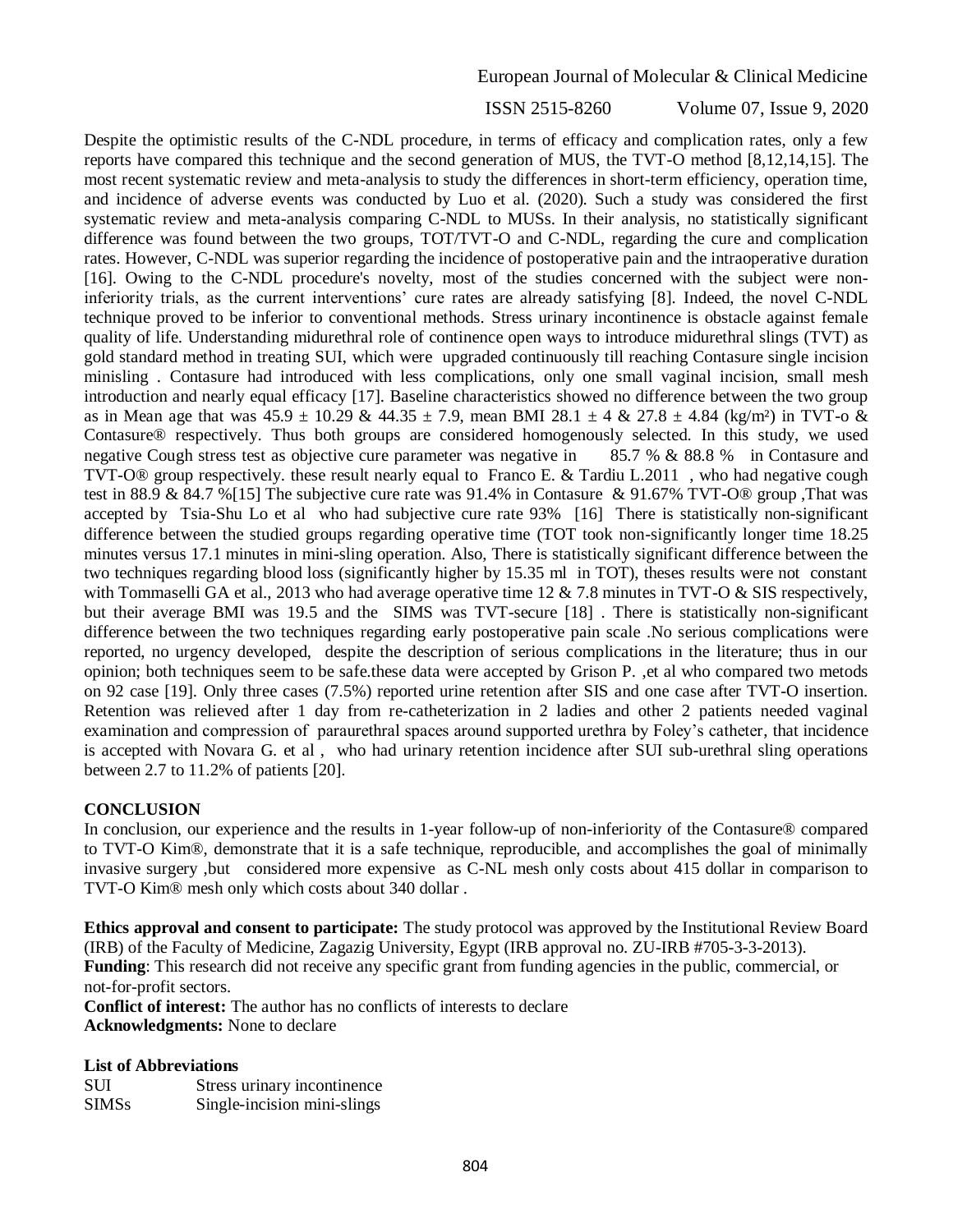ISSN 2515-8260 Volume 07, Issue 9, 2020

Despite the optimistic results of the C-NDL procedure, in terms of efficacy and complication rates, only a few reports have compared this technique and the second generation of MUS, the TVT-O method [8,12,14,15]. The most recent systematic review and meta-analysis to study the differences in short-term efficiency, operation time, and incidence of adverse events was conducted by Luo et al. (2020). Such a study was considered the first systematic review and meta-analysis comparing C-NDL to MUSs. In their analysis, no statistically significant difference was found between the two groups, TOT/TVT-O and C-NDL, regarding the cure and complication rates. However, C-NDL was superior regarding the incidence of postoperative pain and the intraoperative duration [16]. Owing to the C-NDL procedure's novelty, most of the studies concerned with the subject were noninferiority trials, as the current interventions' cure rates are already satisfying [8]. Indeed, the novel C-NDL technique proved to be inferior to conventional methods. Stress urinary incontinence is obstacle against female quality of life. Understanding midurethral role of continence open ways to introduce midurethral slings (TVT) as gold standard method in treating SUI, which were upgraded continuously till reaching Contasure single incision minisling . Contasure had introduced with less complications, only one small vaginal incision, small mesh introduction and nearly equal efficacy [17]. Baseline characteristics showed no difference between the two group as in Mean age that was  $45.9 \pm 10.29 \& 44.35 \pm 7.9$ , mean BMI  $28.1 \pm 4 \& 27.8 \pm 4.84$  (kg/m<sup>2</sup>) in TVT-o & Contasure® respectively. Thus both groups are considered homogenously selected. In this study, we used negative Cough stress test as objective cure parameter was negative in 85.7 % & 88.8 % in Contasure and TVT-O® group respectively. these result nearly equal to Franco E. & Tardiu L.2011 , who had negative cough test in 88.9 & 84.7 %[15] The subjective cure rate was 91.4% in Contasure & 91.67% TVT-O® group ,That was accepted by Tsia-Shu Lo et al who had subjective cure rate 93% [16] There is statistically non-significant difference between the studied groups regarding operative time (TOT took non-significantly longer time 18.25 minutes versus 17.1 minutes in mini-sling operation. Also, There is statistically significant difference between the two techniques regarding blood loss (significantly higher by 15.35 ml in TOT), theses results were not constant with Tommaselli GA et al., 2013 who had average operative time 12  $& 7.8$  minutes in TVT-O  $&$  SIS respectively, but their average BMI was 19.5 and the SIMS was TVT-secure [18] . There is statistically non-significant difference between the two techniques regarding early postoperative pain scale .No serious complications were reported, no urgency developed, despite the description of serious complications in the literature; thus in our opinion; both techniques seem to be safe.these data were accepted by Grison P. ,et al who compared two metods on 92 case [19]. Only three cases (7.5%) reported urine retention after SIS and one case after TVT-O insertion. Retention was relieved after 1 day from re-catheterization in 2 ladies and other 2 patients needed vaginal examination and compression of paraurethral spaces around supported urethra by Foley's catheter, that incidence is accepted with Novara G. et al , who had urinary retention incidence after SUI sub-urethral sling operations between 2.7 to 11.2% of patients [20].

## **CONCLUSION**

In conclusion, our experience and the results in 1-year follow-up of non-inferiority of the Contasure® compared to TVT-O Kim®, demonstrate that it is a safe technique, reproducible, and accomplishes the goal of minimally invasive surgery ,but considered more expensive as C-NL mesh only costs about 415 dollar in comparison to TVT-O Kim® mesh only which costs about 340 dollar .

**Ethics approval and consent to participate:** The study protocol was approved by the Institutional Review Board (IRB) of the Faculty of Medicine, Zagazig University, Egypt (IRB approval no. ZU-IRB #705-3-3-2013). Funding: This research did not receive any specific grant from funding agencies in the public, commercial, or not-for-profit sectors.

**Conflict of interest:** The author has no conflicts of interests to declare **Acknowledgments:** None to declare

#### **List of Abbreviations**

| <b>SUI</b>   | Stress urinary incontinence |
|--------------|-----------------------------|
| <b>SIMSs</b> | Single-incision mini-slings |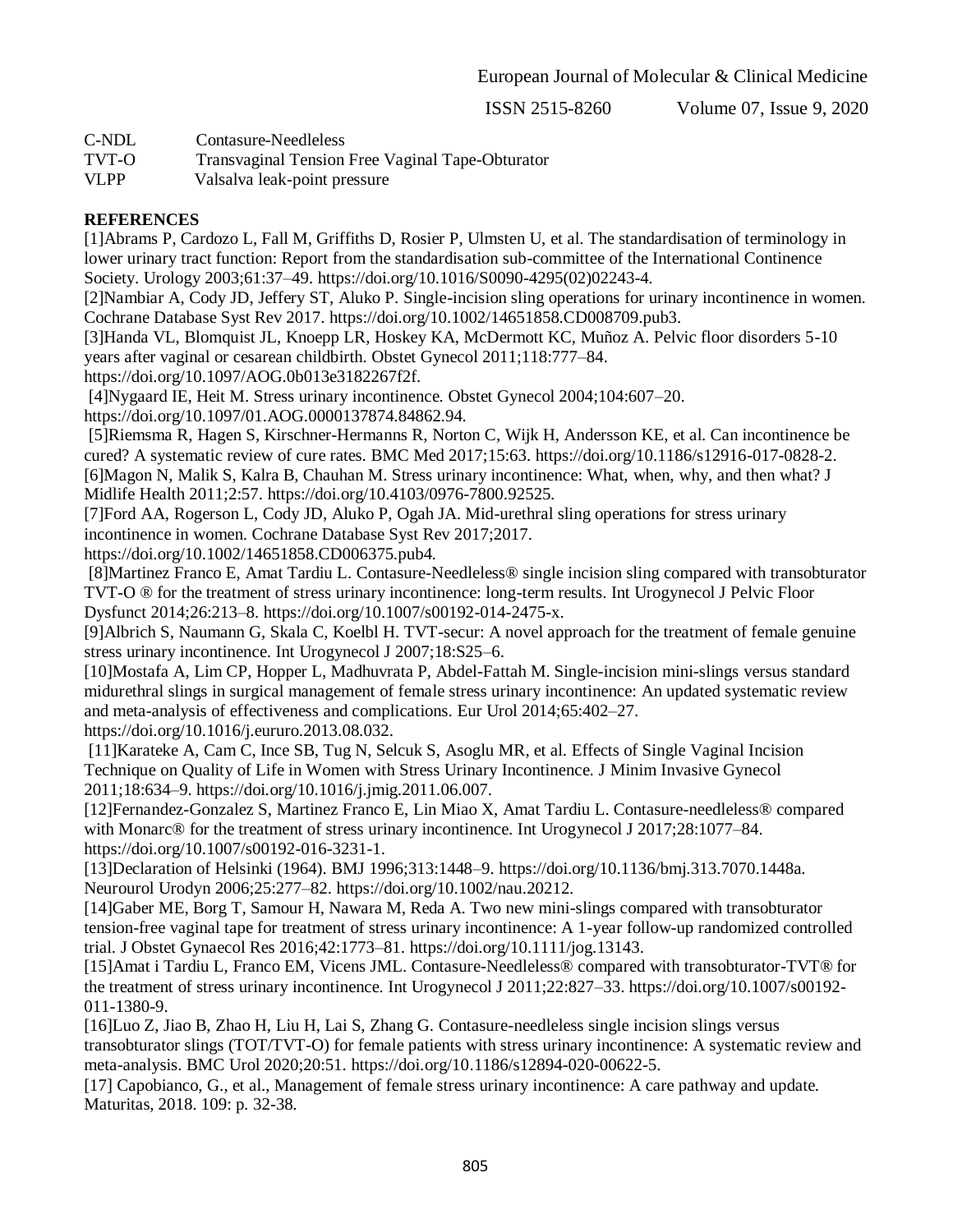ISSN 2515-8260 Volume 07, Issue 9, 2020

- C-NDL Contasure-Needleless
- TVT-O Transvaginal Tension Free Vaginal Tape-Obturator
- VLPP Valsalva leak-point pressure

## **REFERENCES**

[1]Abrams P, Cardozo L, Fall M, Griffiths D, Rosier P, Ulmsten U, et al. The standardisation of terminology in lower urinary tract function: Report from the standardisation sub-committee of the International Continence Society. Urology 2003;61:37–49. https://doi.org/10.1016/S0090-4295(02)02243-4.

[2]Nambiar A, Cody JD, Jeffery ST, Aluko P. Single-incision sling operations for urinary incontinence in women. Cochrane Database Syst Rev 2017. https://doi.org/10.1002/14651858.CD008709.pub3.

[3]Handa VL, Blomquist JL, Knoepp LR, Hoskey KA, McDermott KC, Muñoz A. Pelvic floor disorders 5-10 years after vaginal or cesarean childbirth. Obstet Gynecol 2011;118:777–84.

https://doi.org/10.1097/AOG.0b013e3182267f2f.

[4]Nygaard IE, Heit M. Stress urinary incontinence. Obstet Gynecol 2004;104:607–20. https://doi.org/10.1097/01.AOG.0000137874.84862.94.

[5]Riemsma R, Hagen S, Kirschner-Hermanns R, Norton C, Wijk H, Andersson KE, et al. Can incontinence be cured? A systematic review of cure rates. BMC Med 2017;15:63. https://doi.org/10.1186/s12916-017-0828-2. [6]Magon N, Malik S, Kalra B, Chauhan M. Stress urinary incontinence: What, when, why, and then what? J Midlife Health 2011;2:57. https://doi.org/10.4103/0976-7800.92525.

[7]Ford AA, Rogerson L, Cody JD, Aluko P, Ogah JA. Mid-urethral sling operations for stress urinary incontinence in women. Cochrane Database Syst Rev 2017;2017. https://doi.org/10.1002/14651858.CD006375.pub4.

[8]Martinez Franco E, Amat Tardiu L. Contasure-Needleless® single incision sling compared with transobturator TVT-O ® for the treatment of stress urinary incontinence: long-term results. Int Urogynecol J Pelvic Floor Dysfunct 2014;26:213–8. https://doi.org/10.1007/s00192-014-2475-x.

[9]Albrich S, Naumann G, Skala C, Koelbl H. TVT-secur: A novel approach for the treatment of female genuine stress urinary incontinence. Int Urogynecol J 2007;18:S25–6.

[10]Mostafa A, Lim CP, Hopper L, Madhuvrata P, Abdel-Fattah M. Single-incision mini-slings versus standard midurethral slings in surgical management of female stress urinary incontinence: An updated systematic review and meta-analysis of effectiveness and complications. Eur Urol 2014;65:402–27. https://doi.org/10.1016/j.eururo.2013.08.032.

[11]Karateke A, Cam C, Ince SB, Tug N, Selcuk S, Asoglu MR, et al. Effects of Single Vaginal Incision Technique on Quality of Life in Women with Stress Urinary Incontinence. J Minim Invasive Gynecol 2011;18:634–9. https://doi.org/10.1016/j.jmig.2011.06.007.

[12]Fernandez-Gonzalez S, Martinez Franco E, Lin Miao X, Amat Tardiu L. Contasure-needleless® compared with Monarc<sup>®</sup> for the treatment of stress urinary incontinence. Int Urogynecol J 2017;28:1077–84. https://doi.org/10.1007/s00192-016-3231-1.

[13]Declaration of Helsinki (1964). BMJ 1996;313:1448–9. https://doi.org/10.1136/bmj.313.7070.1448a. Neurourol Urodyn 2006;25:277–82. https://doi.org/10.1002/nau.20212.

[14]Gaber ME, Borg T, Samour H, Nawara M, Reda A. Two new mini-slings compared with transobturator tension-free vaginal tape for treatment of stress urinary incontinence: A 1-year follow-up randomized controlled trial. J Obstet Gynaecol Res 2016;42:1773–81. https://doi.org/10.1111/jog.13143.

[15]Amat i Tardiu L, Franco EM, Vicens JML. Contasure-Needleless® compared with transobturator-TVT® for the treatment of stress urinary incontinence. Int Urogynecol J 2011;22:827–33. https://doi.org/10.1007/s00192- 011-1380-9.

[16]Luo Z, Jiao B, Zhao H, Liu H, Lai S, Zhang G. Contasure-needleless single incision slings versus transobturator slings (TOT/TVT-O) for female patients with stress urinary incontinence: A systematic review and meta-analysis. BMC Urol 2020;20:51. https://doi.org/10.1186/s12894-020-00622-5.

[17] Capobianco, G., et al., Management of female stress urinary incontinence: A care pathway and update. Maturitas, 2018. 109: p. 32-38.